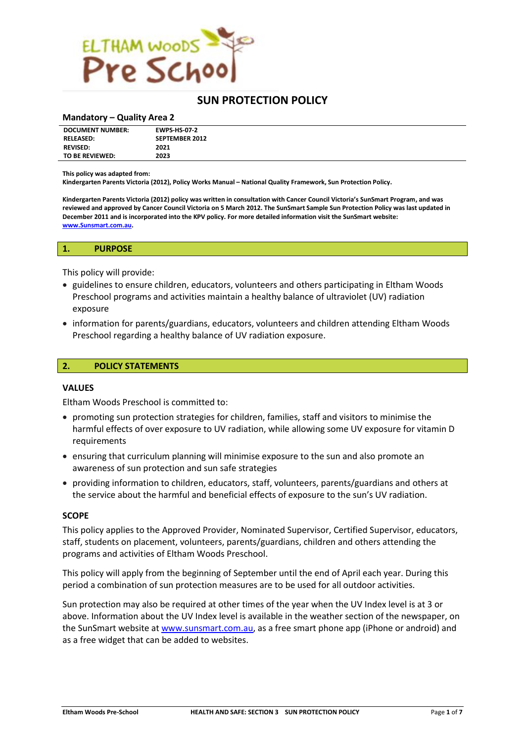

# **SUN PROTECTION POLICY**

#### **Mandatory – Quality Area 2**

| <b>DOCUMENT NUMBER:</b> | <b>EWPS HS 07-2</b>   |
|-------------------------|-----------------------|
| <b>RELEASED:</b>        | <b>SEPTEMBER 2012</b> |
| <b>REVISED:</b>         | 2021                  |
| TO BE REVIEWED:         | 2023                  |

**This policy was adapted from:**

**Kindergarten Parents Victoria (2012), Policy Works Manual – National Quality Framework, Sun Protection Policy.**

**Kindergarten Parents Victoria (2012) policy was written in consultation with Cancer Council Victoria's SunSmart Program, and was reviewed and approved by Cancer Council Victoria on 5 March 2012. The SunSmart Sample Sun Protection Policy was last updated in December 2011 and is incorporated into the KPV policy. For more detailed information visit the SunSmart website: [www.Sunsmart.com.au.](http://www.sunsmart.com.au/)**

## **1. PURPOSE**

This policy will provide:

- guidelines to ensure children, educators, volunteers and others participating in Eltham Woods Preschool programs and activities maintain a healthy balance of ultraviolet (UV) radiation exposure
- information for parents/guardians, educators, volunteers and children attending Eltham Woods Preschool regarding a healthy balance of UV radiation exposure.

### **2. POLICY STATEMENTS**

#### **VALUES**

Eltham Woods Preschool is committed to:

- promoting sun protection strategies for children, families, staff and visitors to minimise the harmful effects of over exposure to UV radiation, while allowing some UV exposure for vitamin D requirements
- ensuring that curriculum planning will minimise exposure to the sun and also promote an awareness of sun protection and sun safe strategies
- providing information to children, educators, staff, volunteers, parents/guardians and others at the service about the harmful and beneficial effects of exposure to the sun's UV radiation.

## **SCOPE**

This policy applies to the Approved Provider, Nominated Supervisor, Certified Supervisor, educators, staff, students on placement, volunteers, parents/guardians, children and others attending the programs and activities of Eltham Woods Preschool.

This policy will apply from the beginning of September until the end of April each year. During this period a combination of sun protection measures are to be used for all outdoor activities.

Sun protection may also be required at other times of the year when the UV Index level is at 3 or above. Information about the UV Index level is available in the weather section of the newspaper, on the SunSmart website at [www.sunsmart.com.au,](http://www.sunsmart.com.au/) as a free smart phone app (iPhone or android) and as a free widget that can be added to websites.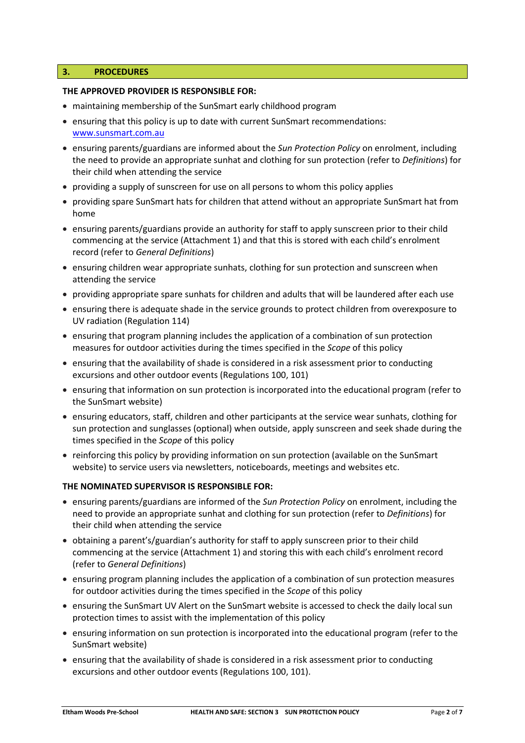## **3. PROCEDURES**

## **THE APPROVED PROVIDER IS RESPONSIBLE FOR:**

- maintaining membership of the SunSmart early childhood program
- ensuring that this policy is up to date with current SunSmart recommendations: [www.sunsmart.com.au](http://www.sunsmart.com.au/)
- ensuring parents/guardians are informed about the *Sun Protection Policy* on enrolment, including the need to provide an appropriate sunhat and clothing for sun protection (refer to *Definitions*) for their child when attending the service
- providing a supply of sunscreen for use on all persons to whom this policy applies
- providing spare SunSmart hats for children that attend without an appropriate SunSmart hat from home
- ensuring parents/guardians provide an authority for staff to apply sunscreen prior to their child commencing at the service (Attachment 1) and that this is stored with each child's enrolment record (refer to *General Definitions*)
- ensuring children wear appropriate sunhats, clothing for sun protection and sunscreen when attending the service
- providing appropriate spare sunhats for children and adults that will be laundered after each use
- ensuring there is adequate shade in the service grounds to protect children from overexposure to UV radiation (Regulation 114)
- ensuring that program planning includes the application of a combination of sun protection measures for outdoor activities during the times specified in the *Scope* of this policy
- ensuring that the availability of shade is considered in a risk assessment prior to conducting excursions and other outdoor events (Regulations 100, 101)
- ensuring that information on sun protection is incorporated into the educational program (refer to the SunSmart website)
- ensuring educators, staff, children and other participants at the service wear sunhats, clothing for sun protection and sunglasses (optional) when outside, apply sunscreen and seek shade during the times specified in the *Scope* of this policy
- reinforcing this policy by providing information on sun protection (available on the SunSmart website) to service users via newsletters, noticeboards, meetings and websites etc.

## **THE NOMINATED SUPERVISOR IS RESPONSIBLE FOR:**

- ensuring parents/guardians are informed of the *Sun Protection Policy* on enrolment, including the need to provide an appropriate sunhat and clothing for sun protection (refer to *Definitions*) for their child when attending the service
- obtaining a parent's/guardian's authority for staff to apply sunscreen prior to their child commencing at the service (Attachment 1) and storing this with each child's enrolment record (refer to *General Definitions*)
- ensuring program planning includes the application of a combination of sun protection measures for outdoor activities during the times specified in the *Scope* of this policy
- ensuring the SunSmart UV Alert on the SunSmart website is accessed to check the daily local sun protection times to assist with the implementation of this policy
- ensuring information on sun protection is incorporated into the educational program (refer to the SunSmart website)
- ensuring that the availability of shade is considered in a risk assessment prior to conducting excursions and other outdoor events (Regulations 100, 101).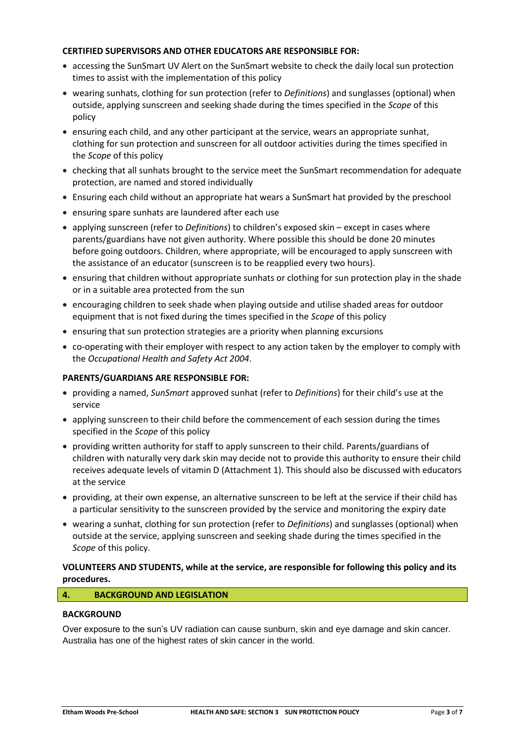## **CERTIFIED SUPERVISORS AND OTHER EDUCATORS ARE RESPONSIBLE FOR:**

- accessing the SunSmart UV Alert on the SunSmart website to check the daily local sun protection times to assist with the implementation of this policy
- wearing sunhats, clothing for sun protection (refer to *Definitions*) and sunglasses (optional) when outside, applying sunscreen and seeking shade during the times specified in the *Scope* of this policy
- ensuring each child, and any other participant at the service, wears an appropriate sunhat, clothing for sun protection and sunscreen for all outdoor activities during the times specified in the *Scope* of this policy
- checking that all sunhats brought to the service meet the SunSmart recommendation for adequate protection, are named and stored individually
- Ensuring each child without an appropriate hat wears a SunSmart hat provided by the preschool
- ensuring spare sunhats are laundered after each use
- applying sunscreen (refer to *Definitions*) to children's exposed skin except in cases where parents/guardians have not given authority. Where possible this should be done 20 minutes before going outdoors. Children, where appropriate, will be encouraged to apply sunscreen with the assistance of an educator (sunscreen is to be reapplied every two hours).
- ensuring that children without appropriate sunhats or clothing for sun protection play in the shade or in a suitable area protected from the sun
- encouraging children to seek shade when playing outside and utilise shaded areas for outdoor equipment that is not fixed during the times specified in the *Scope* of this policy
- ensuring that sun protection strategies are a priority when planning excursions
- co-operating with their employer with respect to any action taken by the employer to comply with the *Occupational Health and Safety Act 2004*.

# **PARENTS/GUARDIANS ARE RESPONSIBLE FOR:**

- providing a named, *SunSmart* approved sunhat (refer to *Definitions*) for their child's use at the service
- applying sunscreen to their child before the commencement of each session during the times specified in the *Scope* of this policy
- providing written authority for staff to apply sunscreen to their child. Parents/guardians of children with naturally very dark skin may decide not to provide this authority to ensure their child receives adequate levels of vitamin D (Attachment 1). This should also be discussed with educators at the service
- providing, at their own expense, an alternative sunscreen to be left at the service if their child has a particular sensitivity to the sunscreen provided by the service and monitoring the expiry date
- wearing a sunhat, clothing for sun protection (refer to *Definitions*) and sunglasses (optional) when outside at the service, applying sunscreen and seeking shade during the times specified in the *Scope* of this policy.

# **VOLUNTEERS AND STUDENTS, while at the service, are responsible for following this policy and its procedures.**

**4. BACKGROUND AND LEGISLATION**

## **BACKGROUND**

Over exposure to the sun's UV radiation can cause sunburn, skin and eye damage and skin cancer. Australia has one of the highest rates of skin cancer in the world.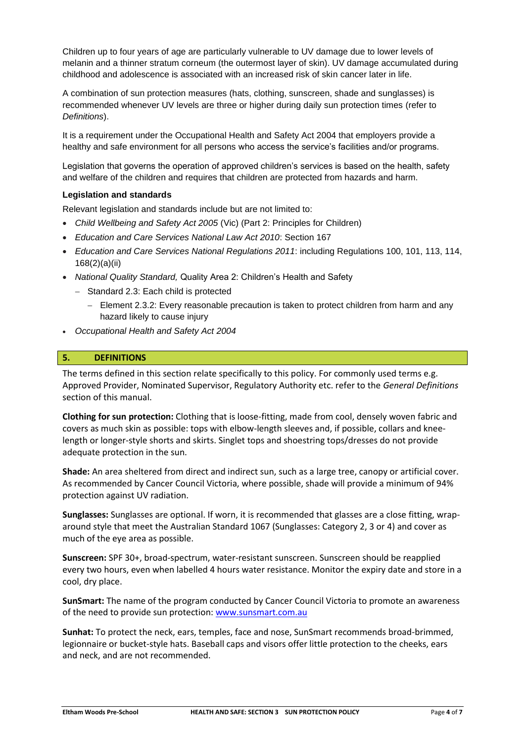Children up to four years of age are particularly vulnerable to UV damage due to lower levels of melanin and a thinner stratum corneum (the outermost layer of skin). UV damage accumulated during childhood and adolescence is associated with an increased risk of skin cancer later in life.

A combination of sun protection measures (hats, clothing, sunscreen, shade and sunglasses) is recommended whenever UV levels are three or higher during daily sun protection times (refer to *Definitions*).

It is a requirement under the Occupational Health and Safety Act 2004 that employers provide a healthy and safe environment for all persons who access the service's facilities and/or programs.

Legislation that governs the operation of approved children's services is based on the health, safety and welfare of the children and requires that children are protected from hazards and harm.

## **Legislation and standards**

Relevant legislation and standards include but are not limited to:

- *Child Wellbeing and Safety Act 2005* (Vic) (Part 2: Principles for Children)
- *Education and Care Services National Law Act 2010*: Section 167
- *Education and Care Services National Regulations 2011*: including Regulations 100, 101, 113, 114, 168(2)(a)(ii)
- *National Quality Standard,* Quality Area 2: Children's Health and Safety
	- − Standard 2.3: Each child is protected
		- − Element 2.3.2: Every reasonable precaution is taken to protect children from harm and any hazard likely to cause injury
- *Occupational Health and Safety Act 2004*

# **5. DEFINITIONS**

The terms defined in this section relate specifically to this policy. For commonly used terms e.g. Approved Provider, Nominated Supervisor, Regulatory Authority etc. refer to the *General Definitions* section of this manual.

**Clothing for sun protection:** Clothing that is loose-fitting, made from cool, densely woven fabric and covers as much skin as possible: tops with elbow-length sleeves and, if possible, collars and kneelength or longer-style shorts and skirts. Singlet tops and shoestring tops/dresses do not provide adequate protection in the sun.

**Shade:** An area sheltered from direct and indirect sun, such as a large tree, canopy or artificial cover. As recommended by Cancer Council Victoria, where possible, shade will provide a minimum of 94% protection against UV radiation.

**Sunglasses:** Sunglasses are optional. If worn, it is recommended that glasses are a close fitting, wraparound style that meet the Australian Standard 1067 (Sunglasses: Category 2, 3 or 4) and cover as much of the eye area as possible.

**Sunscreen:** SPF 30+, broad-spectrum, water-resistant sunscreen. Sunscreen should be reapplied every two hours, even when labelled 4 hours water resistance. Monitor the expiry date and store in a cool, dry place.

**SunSmart:** The name of the program conducted by Cancer Council Victoria to promote an awareness of the need to provide sun protection: [www.sunsmart.com.au](http://www.sunsmart.com.au/)

**Sunhat:** To protect the neck, ears, temples, face and nose, SunSmart recommends broad-brimmed, legionnaire or bucket-style hats. Baseball caps and visors offer little protection to the cheeks, ears and neck, and are not recommended.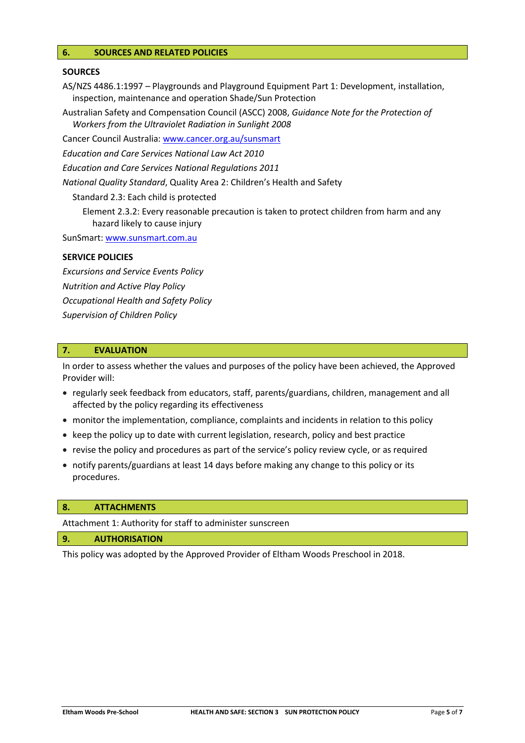## **6. SOURCES AND RELATED POLICIES**

## **SOURCES**

AS/NZS 4486.1:1997 – Playgrounds and Playground Equipment Part 1: Development, installation, inspection, maintenance and operation Shade/Sun Protection

Australian Safety and Compensation Council (ASCC) 2008, *Guidance Note for the Protection of Workers from the Ultraviolet Radiation in Sunlight 2008*

Cancer Council Australia[: www.cancer.org.au/sunsmart](http://www.cancer.org.au/sunsmart)

*Education and Care Services National Law Act 2010*

*Education and Care Services National Regulations 2011*

*National Quality Standard*, Quality Area 2: Children's Health and Safety

Standard 2.3: Each child is protected

Element 2.3.2: Every reasonable precaution is taken to protect children from harm and any hazard likely to cause injury

SunSmart[: www.sunsmart.com.au](http://www.sunsmart.com.au/)

#### **SERVICE POLICIES**

*Excursions and Service Events Policy Nutrition and Active Play Policy Occupational Health and Safety Policy Supervision of Children Policy*

## **7. EVALUATION**

In order to assess whether the values and purposes of the policy have been achieved, the Approved Provider will:

- regularly seek feedback from educators, staff, parents/guardians, children, management and all affected by the policy regarding its effectiveness
- monitor the implementation, compliance, complaints and incidents in relation to this policy
- keep the policy up to date with current legislation, research, policy and best practice
- revise the policy and procedures as part of the service's policy review cycle, or as required
- notify parents/guardians at least 14 days before making any change to this policy or its procedures.

#### **8. ATTACHMENTS**

Attachment 1: Authority for staff to administer sunscreen

#### **9. AUTHORISATION**

This policy was adopted by the Approved Provider of Eltham Woods Preschool in 2018.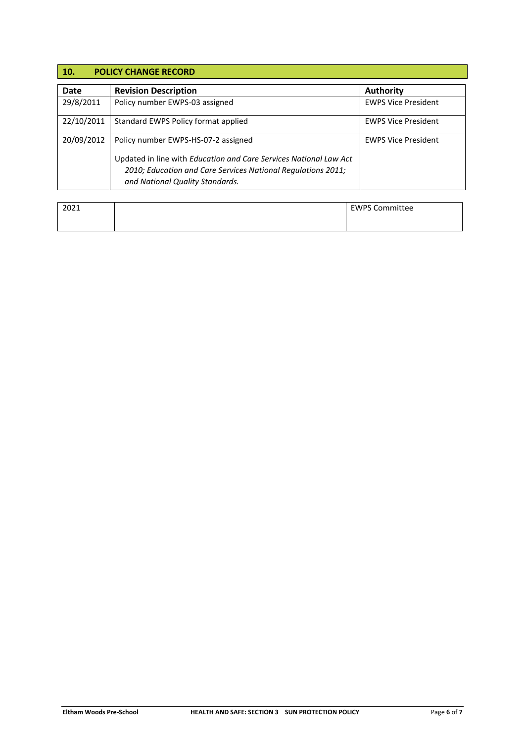# **10. POLICY CHANGE RECORD**

| Date       | <b>Revision Description</b>                                                                                                                                          | Authority                  |
|------------|----------------------------------------------------------------------------------------------------------------------------------------------------------------------|----------------------------|
| 29/8/2011  | Policy number EWPS-03 assigned                                                                                                                                       | <b>EWPS Vice President</b> |
| 22/10/2011 | Standard EWPS Policy format applied                                                                                                                                  | <b>EWPS Vice President</b> |
| 20/09/2012 | Policy number EWPS-HS-07-2 assigned                                                                                                                                  | <b>EWPS Vice President</b> |
|            | Updated in line with Education and Care Services National Law Act<br>2010; Education and Care Services National Regulations 2011;<br>and National Quality Standards. |                            |

| 2021 | <b>EWPS Committee</b> |
|------|-----------------------|
|      |                       |